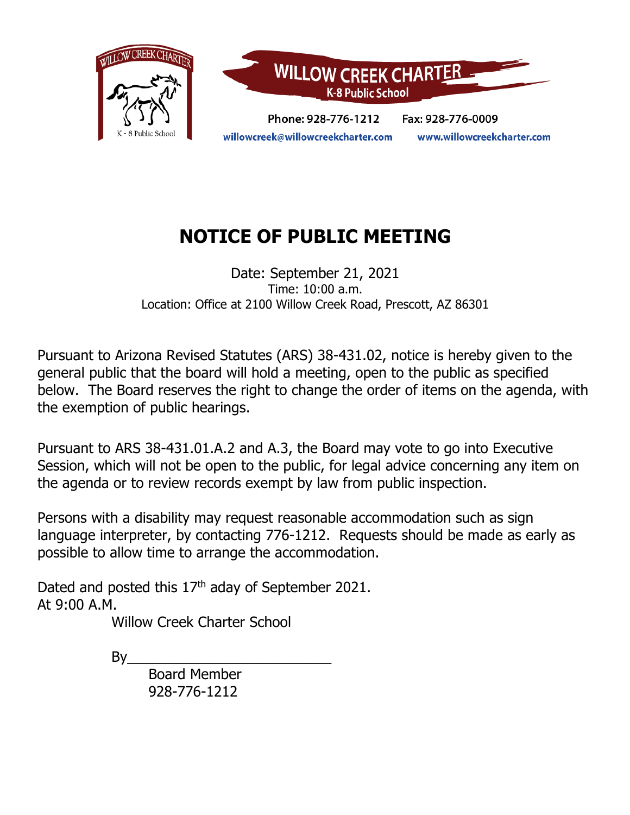

# **NOTICE OF PUBLIC MEETING**

Date: September 21, 2021 Time: 10:00 a.m. Location: Office at 2100 Willow Creek Road, Prescott, AZ 86301

Pursuant to Arizona Revised Statutes (ARS) 38-431.02, notice is hereby given to the general public that the board will hold a meeting, open to the public as specified below. The Board reserves the right to change the order of items on the agenda, with the exemption of public hearings.

Pursuant to ARS 38-431.01.A.2 and A.3, the Board may vote to go into Executive Session, which will not be open to the public, for legal advice concerning any item on the agenda or to review records exempt by law from public inspection.

Persons with a disability may request reasonable accommodation such as sign language interpreter, by contacting 776-1212. Requests should be made as early as possible to allow time to arrange the accommodation.

Dated and posted this  $17<sup>th</sup>$  aday of September 2021. At 9:00 A.M.

Willow Creek Charter School

 $By$ 

Board Member 928-776-1212